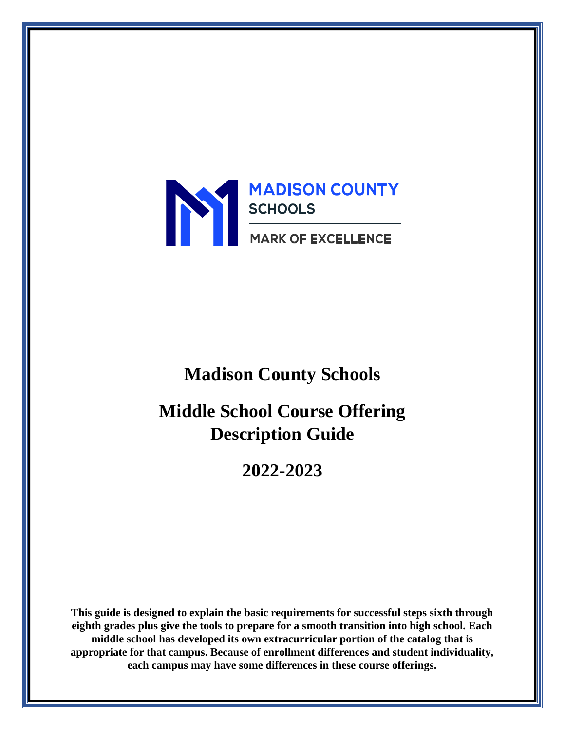

# **Madison County Schools**

**Middle School Course Offering Description Guide** 

**2022-2023**

**This guide is designed to explain the basic requirements for successful steps sixth through eighth grades plus give the tools to prepare for a smooth transition into high school. Each middle school has developed its own extracurricular portion of the catalog that is appropriate for that campus. Because of enrollment differences and student individuality, each campus may have some differences in these course offerings.**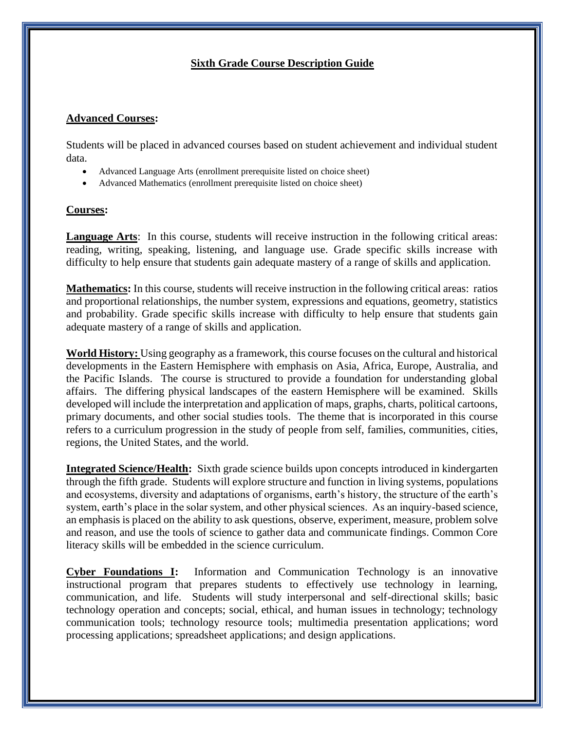## **Sixth Grade Course Description Guide**

#### **Advanced Courses:**

Students will be placed in advanced courses based on student achievement and individual student data.

- Advanced Language Arts (enrollment prerequisite listed on choice sheet)
- Advanced Mathematics (enrollment prerequisite listed on choice sheet)

#### **Courses:**

**Language Arts**: In this course, students will receive instruction in the following critical areas: reading, writing, speaking, listening, and language use. Grade specific skills increase with difficulty to help ensure that students gain adequate mastery of a range of skills and application.

**Mathematics:** In this course, students will receive instruction in the following critical areas: ratios and proportional relationships, the number system, expressions and equations, geometry, statistics and probability. Grade specific skills increase with difficulty to help ensure that students gain adequate mastery of a range of skills and application.

**World History:** Using geography as a framework, this course focuses on the cultural and historical developments in the Eastern Hemisphere with emphasis on Asia, Africa, Europe, Australia, and the Pacific Islands. The course is structured to provide a foundation for understanding global affairs. The differing physical landscapes of the eastern Hemisphere will be examined. Skills developed will include the interpretation and application of maps, graphs, charts, political cartoons, primary documents, and other social studies tools. The theme that is incorporated in this course refers to a curriculum progression in the study of people from self, families, communities, cities, regions, the United States, and the world.

**Integrated Science/Health:** Sixth grade science builds upon concepts introduced in kindergarten through the fifth grade. Students will explore structure and function in living systems, populations and ecosystems, diversity and adaptations of organisms, earth's history, the structure of the earth's system, earth's place in the solar system, and other physical sciences. As an inquiry-based science, an emphasis is placed on the ability to ask questions, observe, experiment, measure, problem solve and reason, and use the tools of science to gather data and communicate findings. Common Core literacy skills will be embedded in the science curriculum.

**Cyber Foundations I:** Information and Communication Technology is an innovative instructional program that prepares students to effectively use technology in learning, communication, and life. Students will study interpersonal and self-directional skills; basic technology operation and concepts; social, ethical, and human issues in technology; technology communication tools; technology resource tools; multimedia presentation applications; word processing applications; spreadsheet applications; and design applications.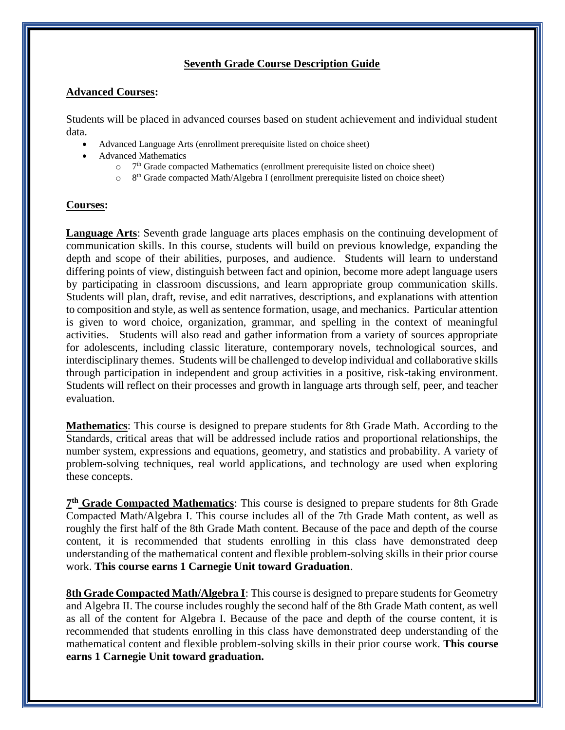## **Seventh Grade Course Description Guide**

#### **Advanced Courses:**

Students will be placed in advanced courses based on student achievement and individual student data.

- Advanced Language Arts (enrollment prerequisite listed on choice sheet)
- Advanced Mathematics
	- $\circ$  7<sup>th</sup> Grade compacted Mathematics (enrollment prerequisite listed on choice sheet)
	- <sup>o</sup> 8<sup>th</sup> Grade compacted Math/Algebra I (enrollment prerequisite listed on choice sheet)

## **Courses:**

**Language Arts**: Seventh grade language arts places emphasis on the continuing development of communication skills. In this course, students will build on previous knowledge, expanding the depth and scope of their abilities, purposes, and audience. Students will learn to understand differing points of view, distinguish between fact and opinion, become more adept language users by participating in classroom discussions, and learn appropriate group communication skills. Students will plan, draft, revise, and edit narratives, descriptions, and explanations with attention to composition and style, as well as sentence formation, usage, and mechanics. Particular attention is given to word choice, organization, grammar, and spelling in the context of meaningful activities. Students will also read and gather information from a variety of sources appropriate for adolescents, including classic literature, contemporary novels, technological sources, and interdisciplinary themes. Students will be challenged to develop individual and collaborative skills through participation in independent and group activities in a positive, risk-taking environment. Students will reflect on their processes and growth in language arts through self, peer, and teacher evaluation.

**Mathematics**: This course is designed to prepare students for 8th Grade Math. According to the Standards, critical areas that will be addressed include ratios and proportional relationships, the number system, expressions and equations, geometry, and statistics and probability. A variety of problem-solving techniques, real world applications, and technology are used when exploring these concepts.

**7<sup>th</sup> Grade Compacted Mathematics**: This course is designed to prepare students for 8th Grade Compacted Math/Algebra I. This course includes all of the 7th Grade Math content, as well as roughly the first half of the 8th Grade Math content. Because of the pace and depth of the course content, it is recommended that students enrolling in this class have demonstrated deep understanding of the mathematical content and flexible problem-solving skills in their prior course work. **This course earns 1 Carnegie Unit toward Graduation**.

**8th Grade Compacted Math/Algebra I**: This course is designed to prepare students for Geometry and Algebra II. The course includes roughly the second half of the 8th Grade Math content, as well as all of the content for Algebra I. Because of the pace and depth of the course content, it is recommended that students enrolling in this class have demonstrated deep understanding of the mathematical content and flexible problem-solving skills in their prior course work. **This course earns 1 Carnegie Unit toward graduation.**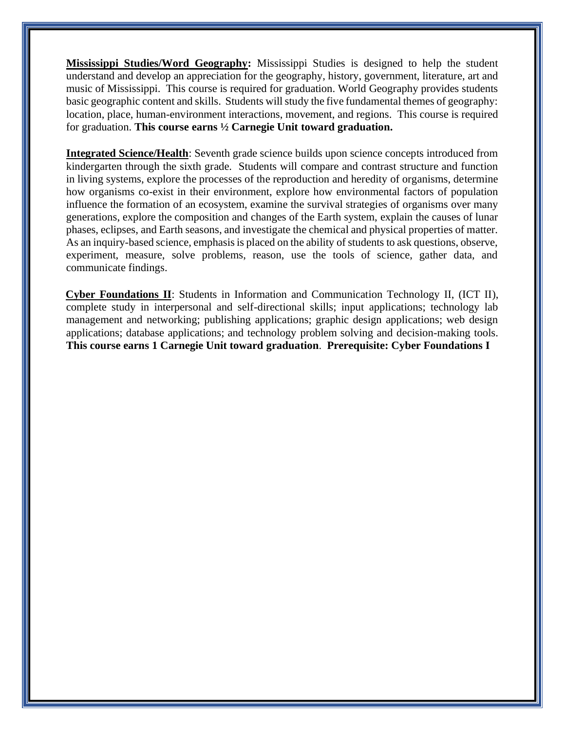**Mississippi Studies/Word Geography:** Mississippi Studies is designed to help the student understand and develop an appreciation for the geography, history, government, literature, art and music of Mississippi. This course is required for graduation. World Geography provides students basic geographic content and skills. Students will study the five fundamental themes of geography: location, place, human-environment interactions, movement, and regions. This course is required for graduation. **This course earns ½ Carnegie Unit toward graduation.**

**Integrated Science/Health**: Seventh grade science builds upon science concepts introduced from kindergarten through the sixth grade. Students will compare and contrast structure and function in living systems, explore the processes of the reproduction and heredity of organisms, determine how organisms co-exist in their environment, explore how environmental factors of population influence the formation of an ecosystem, examine the survival strategies of organisms over many generations, explore the composition and changes of the Earth system, explain the causes of lunar phases, eclipses, and Earth seasons, and investigate the chemical and physical properties of matter. As an inquiry-based science, emphasis is placed on the ability of students to ask questions, observe, experiment, measure, solve problems, reason, use the tools of science, gather data, and communicate findings.

**Cyber Foundations II**: Students in Information and Communication Technology II, (ICT II), complete study in interpersonal and self-directional skills; input applications; technology lab management and networking; publishing applications; graphic design applications; web design applications; database applications; and technology problem solving and decision-making tools. **This course earns 1 Carnegie Unit toward graduation**. **Prerequisite: Cyber Foundations I**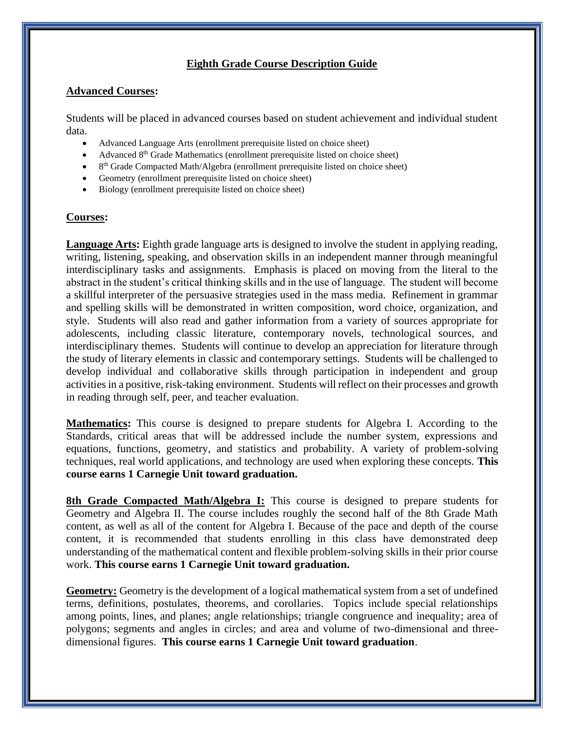## **Eighth Grade Course Description Guide**

## **Advanced Courses:**

Students will be placed in advanced courses based on student achievement and individual student data.

- Advanced Language Arts (enrollment prerequisite listed on choice sheet)
- Advanced  $8<sup>th</sup>$  Grade Mathematics (enrollment prerequisite listed on choice sheet)
- 8<sup>th</sup> Grade Compacted Math/Algebra (enrollment prerequisite listed on choice sheet)
- Geometry (enrollment prerequisite listed on choice sheet)
- Biology (enrollment prerequisite listed on choice sheet)

#### **Courses:**

**Language Arts:** Eighth grade language arts is designed to involve the student in applying reading, writing, listening, speaking, and observation skills in an independent manner through meaningful interdisciplinary tasks and assignments. Emphasis is placed on moving from the literal to the abstract in the student's critical thinking skills and in the use of language. The student will become a skillful interpreter of the persuasive strategies used in the mass media. Refinement in grammar and spelling skills will be demonstrated in written composition, word choice, organization, and style. Students will also read and gather information from a variety of sources appropriate for adolescents, including classic literature, contemporary novels, technological sources, and interdisciplinary themes. Students will continue to develop an appreciation for literature through the study of literary elements in classic and contemporary settings. Students will be challenged to develop individual and collaborative skills through participation in independent and group activities in a positive, risk-taking environment. Students will reflect on their processes and growth in reading through self, peer, and teacher evaluation.

**Mathematics:** This course is designed to prepare students for Algebra I. According to the Standards, critical areas that will be addressed include the number system, expressions and equations, functions, geometry, and statistics and probability. A variety of problem-solving techniques, real world applications, and technology are used when exploring these concepts. **This course earns 1 Carnegie Unit toward graduation.**

**8th Grade Compacted Math/Algebra I:** This course is designed to prepare students for Geometry and Algebra II. The course includes roughly the second half of the 8th Grade Math content, as well as all of the content for Algebra I. Because of the pace and depth of the course content, it is recommended that students enrolling in this class have demonstrated deep understanding of the mathematical content and flexible problem-solving skills in their prior course work. **This course earns 1 Carnegie Unit toward graduation.**

**Geometry:** Geometry is the development of a logical mathematical system from a set of undefined terms, definitions, postulates, theorems, and corollaries. Topics include special relationships among points, lines, and planes; angle relationships; triangle congruence and inequality; area of polygons; segments and angles in circles; and area and volume of two-dimensional and threedimensional figures. **This course earns 1 Carnegie Unit toward graduation**.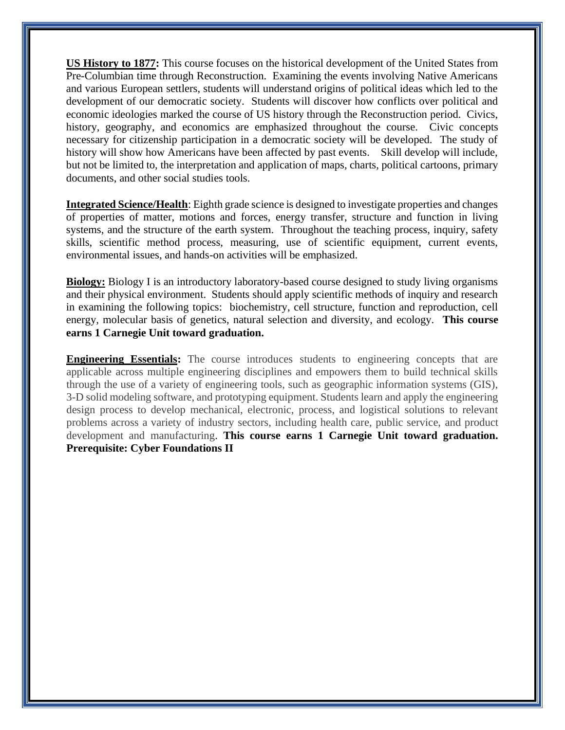**US History to 1877:** This course focuses on the historical development of the United States from Pre-Columbian time through Reconstruction. Examining the events involving Native Americans and various European settlers, students will understand origins of political ideas which led to the development of our democratic society. Students will discover how conflicts over political and economic ideologies marked the course of US history through the Reconstruction period. Civics, history, geography, and economics are emphasized throughout the course. Civic concepts necessary for citizenship participation in a democratic society will be developed. The study of history will show how Americans have been affected by past events. Skill develop will include, but not be limited to, the interpretation and application of maps, charts, political cartoons, primary documents, and other social studies tools.

**Integrated Science/Health**: Eighth grade science is designed to investigate properties and changes of properties of matter, motions and forces, energy transfer, structure and function in living systems, and the structure of the earth system. Throughout the teaching process, inquiry, safety skills, scientific method process, measuring, use of scientific equipment, current events, environmental issues, and hands-on activities will be emphasized.

**Biology:** Biology I is an introductory laboratory-based course designed to study living organisms and their physical environment. Students should apply scientific methods of inquiry and research in examining the following topics: biochemistry, cell structure, function and reproduction, cell energy, molecular basis of genetics, natural selection and diversity, and ecology. **This course earns 1 Carnegie Unit toward graduation.**

**Engineering Essentials:** The course introduces students to engineering concepts that are applicable across multiple engineering disciplines and empowers them to build technical skills through the use of a variety of engineering tools, such as geographic information systems (GIS), 3-D solid modeling software, and prototyping equipment. Students learn and apply the engineering design process to develop mechanical, electronic, process, and logistical solutions to relevant problems across a variety of industry sectors, including health care, public service, and product development and manufacturing. **This course earns 1 Carnegie Unit toward graduation. Prerequisite: Cyber Foundations II**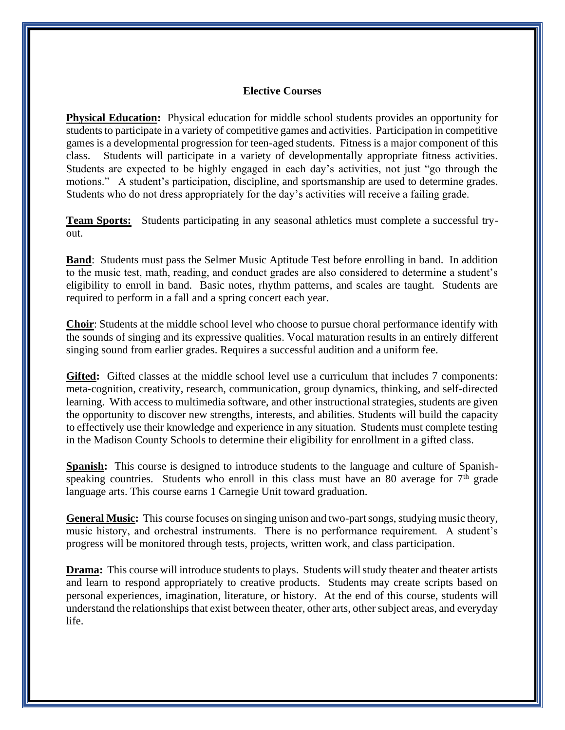#### **Elective Courses**

**Physical Education:** Physical education for middle school students provides an opportunity for students to participate in a variety of competitive games and activities. Participation in competitive games is a developmental progression for teen-aged students. Fitness is a major component of this class. Students will participate in a variety of developmentally appropriate fitness activities. Students are expected to be highly engaged in each day's activities, not just "go through the motions." A student's participation, discipline, and sportsmanship are used to determine grades. Students who do not dress appropriately for the day's activities will receive a failing grade.

**Team Sports:** Students participating in any seasonal athletics must complete a successful tryout.

**Band**: Students must pass the Selmer Music Aptitude Test before enrolling in band. In addition to the music test, math, reading, and conduct grades are also considered to determine a student's eligibility to enroll in band. Basic notes, rhythm patterns, and scales are taught. Students are required to perform in a fall and a spring concert each year.

**Choir**: Students at the middle school level who choose to pursue choral performance identify with the sounds of singing and its expressive qualities. Vocal maturation results in an entirely different singing sound from earlier grades. Requires a successful audition and a uniform fee.

**Gifted:** Gifted classes at the middle school level use a curriculum that includes 7 components: meta-cognition, creativity, research, communication, group dynamics, thinking, and self-directed learning. With access to multimedia software, and other instructional strategies, students are given the opportunity to discover new strengths, interests, and abilities. Students will build the capacity to effectively use their knowledge and experience in any situation. Students must complete testing in the Madison County Schools to determine their eligibility for enrollment in a gifted class.

**Spanish:** This course is designed to introduce students to the language and culture of Spanishspeaking countries. Students who enroll in this class must have an 80 average for  $7<sup>th</sup>$  grade language arts. This course earns 1 Carnegie Unit toward graduation.

**General Music:** This course focuses on singing unison and two-part songs, studying music theory, music history, and orchestral instruments. There is no performance requirement. A student's progress will be monitored through tests, projects, written work, and class participation.

**Drama:** This course will introduce students to plays. Students will study theater and theater artists and learn to respond appropriately to creative products. Students may create scripts based on personal experiences, imagination, literature, or history. At the end of this course, students will understand the relationships that exist between theater, other arts, other subject areas, and everyday life.